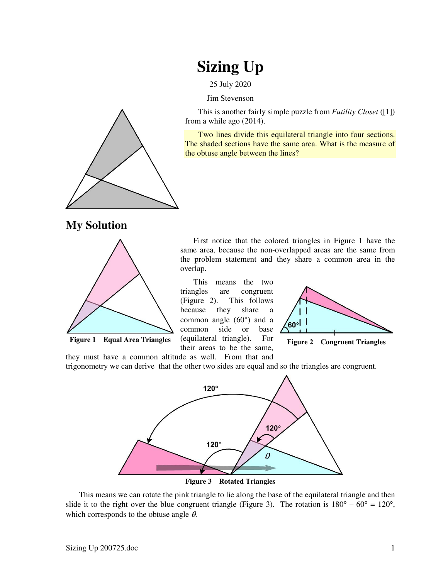## **Sizing Up**

25 July 2020

Jim Stevenson

This is another fairly simple puzzle from *Futility Closet* ([1]) from a while ago (2014).

Two lines divide this equilateral triangle into four sections. The shaded sections have the same area. What is the measure of the obtuse angle between the lines?

First notice that the colored triangles in Figure 1 have the same area, because the non-overlapped areas are the same from the problem statement and they share a common area in the



**My Solution** 



**Figure 1** Equal Area Triangles (equilateral triangle). For Figure 2 Congruent Triangles

their areas to be the same,

overlap.



they must have a common altitude as well. From that and trigonometry we can derive that the other two sides are equal and so the triangles are congruent.

This means the two triangles are congruent (Figure 2). This follows because they share a common angle (60°) and a common side or base (equilateral triangle). For



**Figure 3 Rotated Triangles** 

This means we can rotate the pink triangle to lie along the base of the equilateral triangle and then slide it to the right over the blue congruent triangle (Figure 3). The rotation is  $180^{\circ} - 60^{\circ} = 120^{\circ}$ , which corresponds to the obtuse angle  $\theta$ .